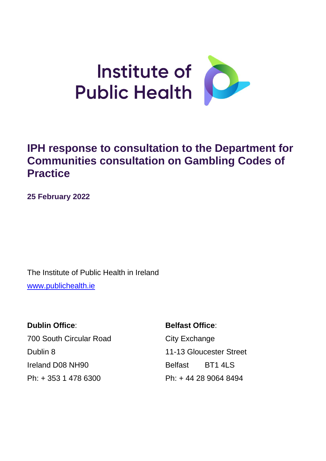

# **IPH response to consultation to the Department for Communities consultation on Gambling Codes of Practice**

**25 February 2022**

The Institute of Public Health in Ireland [www.publichealth.ie](http://www.publichealth.ie/)

**Dublin Office: Belfast Office:** 700 South Circular Road City Exchange Dublin 8 11-13 Gloucester Street Ireland D08 NH90 Belfast BT1 4LS Ph: + 353 1 478 6300 Ph: + 44 28 9064 8494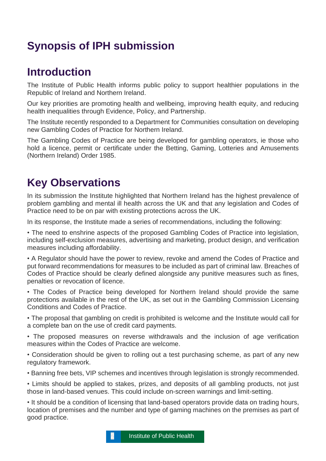# **Synopsis of IPH submission**

# **Introduction**

The Institute of Public Health informs public policy to support healthier populations in the Republic of Ireland and Northern Ireland.

Our key priorities are promoting health and wellbeing, improving health equity, and reducing health inequalities through Evidence, Policy, and Partnership.

The Institute recently responded to a Department for Communities consultation on developing new Gambling Codes of Practice for Northern Ireland.

The Gambling Codes of Practice are being developed for gambling operators, ie those who hold a licence, permit or certificate under the Betting, Gaming, Lotteries and Amusements (Northern Ireland) Order 1985.

# **Key Observations**

In its submission the Institute highlighted that Northern Ireland has the highest prevalence of problem gambling and mental ill health across the UK and that any legislation and Codes of Practice need to be on par with existing protections across the UK.

In its response, the Institute made a series of recommendations, including the following:

• The need to enshrine aspects of the proposed Gambling Codes of Practice into legislation, including self-exclusion measures, advertising and marketing, product design, and verification measures including affordability.

• A Regulator should have the power to review, revoke and amend the Codes of Practice and put forward recommendations for measures to be included as part of criminal law. Breaches of Codes of Practice should be clearly defined alongside any punitive measures such as fines, penalties or revocation of licence.

• The Codes of Practice being developed for Northern Ireland should provide the same protections available in the rest of the UK, as set out in the Gambling Commission Licensing Conditions and Codes of Practice.

• The proposal that gambling on credit is prohibited is welcome and the Institute would call for a complete ban on the use of credit card payments.

• The proposed measures on reverse withdrawals and the inclusion of age verification measures within the Codes of Practice are welcome.

• Consideration should be given to rolling out a test purchasing scheme, as part of any new regulatory framework.

• Banning free bets, VIP schemes and incentives through legislation is strongly recommended.

• Limits should be applied to stakes, prizes, and deposits of all gambling products, not just those in land-based venues. This could include on-screen warnings and limit-setting.

• It should be a condition of licensing that land-based operators provide data on trading hours, location of premises and the number and type of gaming machines on the premises as part of good practice.

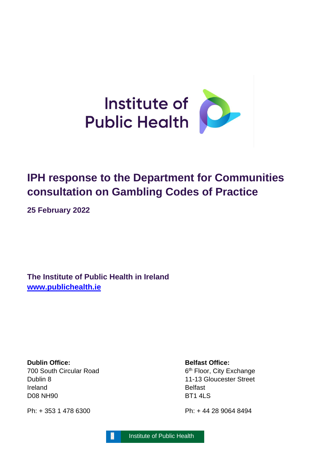

# **IPH response to the Department for Communities consultation on Gambling Codes of Practice**

**25 February 2022**

**The Institute of Public Health in Ireland [www.publichealth.ie](http://www.publichealth.ie/)**

**Dublin Office: Belfast Office:** 700 South Circular Road 6 Dublin 8 11-13 Gloucester Street Ireland Belfast D08 NH90 BT1 4LS

Ph: + 353 1 478 6300 Ph: + 44 28 9064 8494

6<sup>th</sup> Floor, City Exchange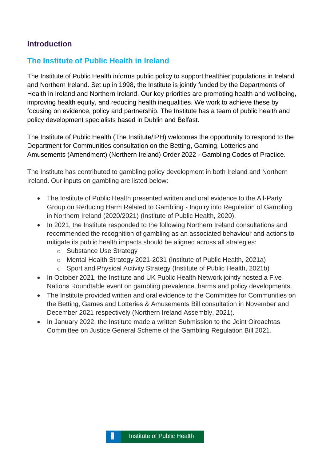# **Introduction**

# **The Institute of Public Health in Ireland**

The Institute of Public Health informs public policy to support healthier populations in Ireland and Northern Ireland. Set up in 1998, the Institute is jointly funded by the Departments of Health in Ireland and Northern Ireland. Our key priorities are promoting health and wellbeing, improving health equity, and reducing health inequalities. We work to achieve these by focusing on evidence, policy and partnership. The Institute has a team of public health and policy development specialists based in Dublin and Belfast.

The Institute of Public Health (The Institute/IPH) welcomes the opportunity to respond to the Department for Communities consultation on the Betting, Gaming, Lotteries and Amusements (Amendment) (Northern Ireland) Order 2022 - Gambling Codes of Practice.

The Institute has contributed to gambling policy development in both Ireland and Northern Ireland. Our inputs on gambling are listed below:

- The Institute of Public Health presented written and oral evidence to the All-Party Group on Reducing Harm Related to Gambling - Inquiry into Regulation of Gambling in Northern Ireland (2020/2021) (Institute of Public Health, 2020).
- In 2021, the Institute responded to the following Northern Ireland consultations and recommended the recognition of gambling as an associated behaviour and actions to mitigate its public health impacts should be aligned across all strategies:
	- o Substance Use Strategy
	- o Mental Health Strategy 2021-2031 (Institute of Public Health, 2021a)
	- o Sport and Physical Activity Strategy (Institute of Public Health, 2021b)
- In October 2021, the Institute and UK Public Health Network jointly hosted a Five Nations Roundtable event on gambling prevalence, harms and policy developments.
- The Institute provided written and oral evidence to the Committee for Communities on the Betting, Games and Lotteries & Amusements Bill consultation in November and December 2021 respectively (Northern Ireland Assembly, 2021).
- In January 2022, the Institute made a written Submission to the Joint Oireachtas Committee on Justice General Scheme of the Gambling Regulation Bill 2021.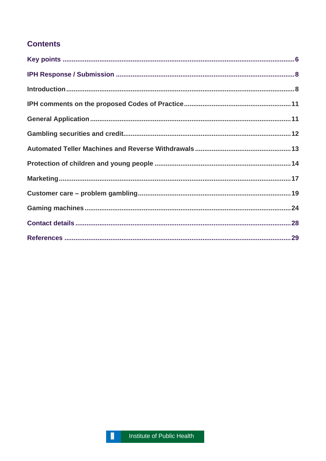# **Contents**

 $\overline{5}$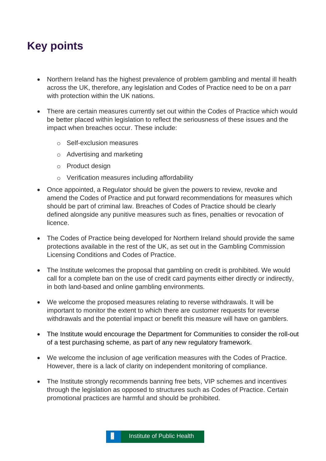# <span id="page-5-0"></span>**Key points**

- Northern Ireland has the highest prevalence of problem gambling and mental ill health across the UK, therefore, any legislation and Codes of Practice need to be on a parr with protection within the UK nations.
- There are certain measures currently set out within the Codes of Practice which would be better placed within legislation to reflect the seriousness of these issues and the impact when breaches occur. These include:
	- o Self-exclusion measures
	- o Advertising and marketing
	- o Product design
	- o Verification measures including affordability
- Once appointed, a Regulator should be given the powers to review, revoke and amend the Codes of Practice and put forward recommendations for measures which should be part of criminal law. Breaches of Codes of Practice should be clearly defined alongside any punitive measures such as fines, penalties or revocation of licence.
- The Codes of Practice being developed for Northern Ireland should provide the same protections available in the rest of the UK, as set out in the Gambling Commission Licensing Conditions and Codes of Practice.
- The Institute welcomes the proposal that gambling on credit is prohibited. We would call for a complete ban on the use of credit card payments either directly or indirectly, in both land-based and online gambling environments.
- We welcome the proposed measures relating to reverse withdrawals. It will be important to monitor the extent to which there are customer requests for reverse withdrawals and the potential impact or benefit this measure will have on gamblers.
- The Institute would encourage the Department for Communities to consider the roll-out of a test purchasing scheme, as part of any new regulatory framework.
- We welcome the inclusion of age verification measures with the Codes of Practice. However, there is a lack of clarity on independent monitoring of compliance.
- The Institute strongly recommends banning free bets, VIP schemes and incentives through the legislation as opposed to structures such as Codes of Practice. Certain promotional practices are harmful and should be prohibited.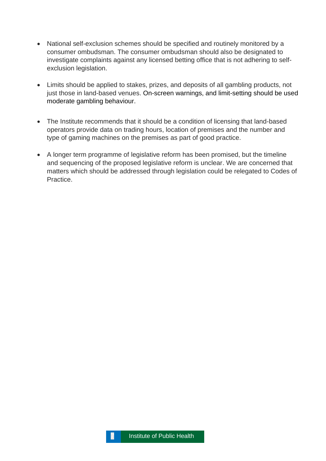- National self-exclusion schemes should be specified and routinely monitored by a consumer ombudsman. The consumer ombudsman should also be designated to investigate complaints against any licensed betting office that is not adhering to selfexclusion legislation.
- Limits should be applied to stakes, prizes, and deposits of all gambling products, not just those in land-based venues. On-screen warnings, and limit-setting should be used moderate gambling behaviour.
- The Institute recommends that it should be a condition of licensing that land-based operators provide data on trading hours, location of premises and the number and type of gaming machines on the premises as part of good practice.
- A longer term programme of legislative reform has been promised, but the timeline and sequencing of the proposed legislative reform is unclear. We are concerned that matters which should be addressed through legislation could be relegated to Codes of Practice.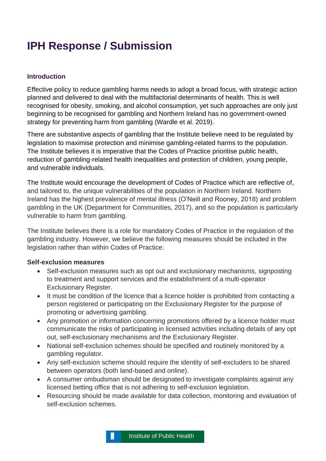# <span id="page-7-0"></span>**IPH Response / Submission**

## <span id="page-7-1"></span>**Introduction**

Effective policy to reduce gambling harms needs to adopt a broad focus, with strategic action planned and delivered to deal with the multifactorial determinants of health. This is well recognised for obesity, smoking, and alcohol consumption, yet such approaches are only just beginning to be recognised for gambling and Northern Ireland has no government-owned strategy for preventing harm from gambling (Wardle et al. 2019).

There are substantive aspects of gambling that the Institute believe need to be regulated by legislation to maximise protection and minimise gambling-related harms to the population. The Institute believes it is imperative that the Codes of Practice prioritise public health, reduction of gambling-related health inequalities and protection of children, young people, and vulnerable individuals.

The Institute would encourage the development of Codes of Practice which are reflective of, and tailored to, the unique vulnerabilities of the population in Northern Ireland. Northern Ireland has the highest prevalence of mental illness (O'Neill and Rooney, 2018) and problem gambling in the UK (Department for Communities, 2017), and so the population is particularly vulnerable to harm from gambling.

The Institute believes there is a role for mandatory Codes of Practice in the regulation of the gambling industry. However, we believe the following measures should be included in the legislation rather than within Codes of Practice:

#### **Self-exclusion measures**

- Self-exclusion measures such as opt out and exclusionary mechanisms, signposting to treatment and support services and the establishment of a multi-operator Exclusionary Register.
- It must be condition of the licence that a licence holder is prohibited from contacting a person registered or participating on the Exclusionary Register for the purpose of promoting or advertising gambling.
- Any promotion or information concerning promotions offered by a licence holder must communicate the risks of participating in licensed activities including details of any opt out, self-exclusionary mechanisms and the Exclusionary Register.
- National self-exclusion schemes should be specified and routinely monitored by a gambling regulator.
- Any self-exclusion scheme should require the identity of self-excluders to be shared between operators (both land-based and online).
- A consumer ombudsman should be designated to investigate complaints against any licensed betting office that is not adhering to self-exclusion legislation.
- Resourcing should be made available for data collection, monitoring and evaluation of self-exclusion schemes.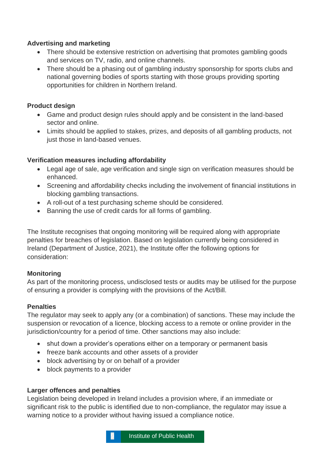# **Advertising and marketing**

- There should be extensive restriction on advertising that promotes gambling goods and services on TV, radio, and online channels.
- There should be a phasing out of gambling industry sponsorship for sports clubs and national governing bodies of sports starting with those groups providing sporting opportunities for children in Northern Ireland.

# **Product design**

- Game and product design rules should apply and be consistent in the land-based sector and online.
- Limits should be applied to stakes, prizes, and deposits of all gambling products, not just those in land-based venues.

# **Verification measures including affordability**

- Legal age of sale, age verification and single sign on verification measures should be enhanced.
- Screening and affordability checks including the involvement of financial institutions in blocking gambling transactions.
- A roll-out of a test purchasing scheme should be considered.
- Banning the use of credit cards for all forms of gambling.

The Institute recognises that ongoing monitoring will be required along with appropriate penalties for breaches of legislation. Based on legislation currently being considered in Ireland (Department of Justice, 2021), the Institute offer the following options for consideration:

# **Monitoring**

As part of the monitoring process, undisclosed tests or audits may be utilised for the purpose of ensuring a provider is complying with the provisions of the Act/Bill.

# **Penalties**

The regulator may seek to apply any (or a combination) of sanctions. These may include the suspension or revocation of a licence, blocking access to a remote or online provider in the jurisdiction/country for a period of time. Other sanctions may also include:

- shut down a provider's operations either on a temporary or permanent basis
- freeze bank accounts and other assets of a provider
- block advertising by or on behalf of a provider
- block payments to a provider

# **Larger offences and penalties**

Legislation being developed in Ireland includes a provision where, if an immediate or significant risk to the public is identified due to non-compliance, the regulator may issue a warning notice to a provider without having issued a compliance notice.

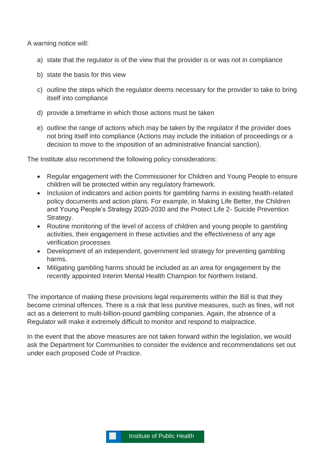A warning notice will:

- a) state that the regulator is of the view that the provider is or was not in compliance
- b) state the basis for this view
- c) outline the steps which the regulator deems necessary for the provider to take to bring itself into compliance
- d) provide a timeframe in which those actions must be taken
- e) outline the range of actions which may be taken by the regulator if the provider does not bring itself into compliance (Actions may include the initiation of proceedings or a decision to move to the imposition of an administrative financial sanction).

The Institute also recommend the following policy considerations:

- Regular engagement with the Commissioner for Children and Young People to ensure children will be protected within any regulatory framework.
- Inclusion of indicators and action points for gambling harms in existing health-related policy documents and action plans. For example, in Making Life Better, the Children and Young People's Strategy 2020-2030 and the Protect Life 2- Suicide Prevention Strategy.
- Routine monitoring of the level of access of children and young people to gambling activities, their engagement in these activities and the effectiveness of any age verification processes
- Development of an independent, government led strategy for preventing gambling harms.
- Mitigating gambling harms should be included as an area for engagement by the recently appointed Interim Mental Health Champion for Northern Ireland.

The importance of making these provisions legal requirements within the Bill is that they become criminal offences. There is a risk that less punitive measures, such as fines, will not act as a deterrent to multi-billion-pound gambling companies. Again, the absence of a Regulator will make it extremely difficult to monitor and respond to malpractice.

In the event that the above measures are not taken forward within the legislation, we would ask the Department for Communities to consider the evidence and recommendations set out under each proposed Code of Practice.

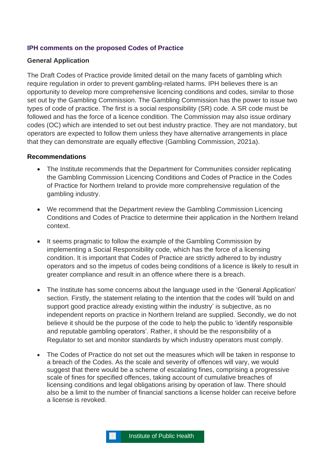#### <span id="page-10-0"></span>**IPH comments on the proposed Codes of Practice**

#### <span id="page-10-1"></span>**General Application**

The Draft Codes of Practice provide limited detail on the many facets of gambling which require regulation in order to prevent gambling-related harms. IPH believes there is an opportunity to develop more comprehensive licencing conditions and codes, similar to those set out by the Gambling Commission. The Gambling Commission has the power to issue two types of code of practice. The first is a social responsibility (SR) code. A SR code must be followed and has the force of a licence condition. The Commission may also issue ordinary codes (OC) which are intended to set out best industry practice. They are not mandatory, but operators are expected to follow them unless they have alternative arrangements in place that they can demonstrate are equally effective (Gambling Commission, 2021a).

#### **Recommendations**

- The Institute recommends that the Department for Communities consider replicating the Gambling Commission Licencing Conditions and Codes of Practice in the Codes of Practice for Northern Ireland to provide more comprehensive regulation of the gambling industry.
- We recommend that the Department review the Gambling Commission Licencing Conditions and Codes of Practice to determine their application in the Northern Ireland context.
- It seems pragmatic to follow the example of the Gambling Commission by implementing a Social Responsibility code, which has the force of a licensing condition. It is important that Codes of Practice are strictly adhered to by industry operators and so the impetus of codes being conditions of a licence is likely to result in greater compliance and result in an offence where there is a breach.
- The Institute has some concerns about the language used in the 'General Application' section. Firstly, the statement relating to the intention that the codes will 'build on and support good practice already existing within the industry' is subjective, as no independent reports on practice in Northern Ireland are supplied. Secondly, we do not believe it should be the purpose of the code to help the public to 'identify responsible and reputable gambling operators'. Rather, it should be the responsibility of a Regulator to set and monitor standards by which industry operators must comply.
- The Codes of Practice do not set out the measures which will be taken in response to a breach of the Codes. As the scale and severity of offences will vary, we would suggest that there would be a scheme of escalating fines, comprising a progressive scale of fines for specified offences, taking account of cumulative breaches of licensing conditions and legal obligations arising by operation of law. There should also be a limit to the number of financial sanctions a license holder can receive before a license is revoked.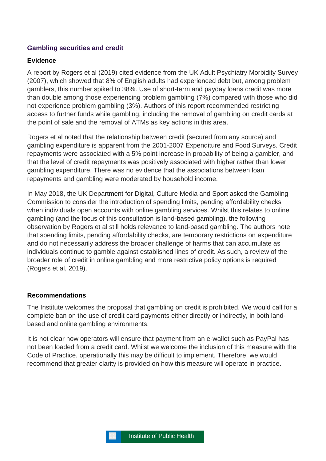# <span id="page-11-0"></span>**Gambling securities and credit**

#### **Evidence**

A report by Rogers et al (2019) cited evidence from the UK Adult Psychiatry Morbidity Survey (2007), which showed that 8% of English adults had experienced debt but, among problem gamblers, this number spiked to 38%. Use of short-term and payday loans credit was more than double among those experiencing problem gambling (7%) compared with those who did not experience problem gambling (3%). Authors of this report recommended restricting access to further funds while gambling, including the removal of gambling on credit cards at the point of sale and the removal of ATMs as key actions in this area.

Rogers et al noted that the relationship between credit (secured from any source) and gambling expenditure is apparent from the 2001-2007 Expenditure and Food Surveys. Credit repayments were associated with a 5% point increase in probability of being a gambler, and that the level of credit repayments was positively associated with higher rather than lower gambling expenditure. There was no evidence that the associations between loan repayments and gambling were moderated by household income.

In May 2018, the UK Department for Digital, Culture Media and Sport asked the Gambling Commission to consider the introduction of spending limits, pending affordability checks when individuals open accounts with online gambling services. Whilst this relates to online gambling (and the focus of this consultation is land-based gambling), the following observation by Rogers et al still holds relevance to land-based gambling. The authors note that spending limits, pending affordability checks, are temporary restrictions on expenditure and do not necessarily address the broader challenge of harms that can accumulate as individuals continue to gamble against established lines of credit. As such, a review of the broader role of credit in online gambling and more restrictive policy options is required (Rogers et al, 2019).

#### **Recommendations**

The Institute welcomes the proposal that gambling on credit is prohibited. We would call for a complete ban on the use of credit card payments either directly or indirectly, in both landbased and online gambling environments.

It is not clear how operators will ensure that payment from an e-wallet such as PayPal has not been loaded from a credit card. Whilst we welcome the inclusion of this measure with the Code of Practice, operationally this may be difficult to implement. Therefore, we would recommend that greater clarity is provided on how this measure will operate in practice.

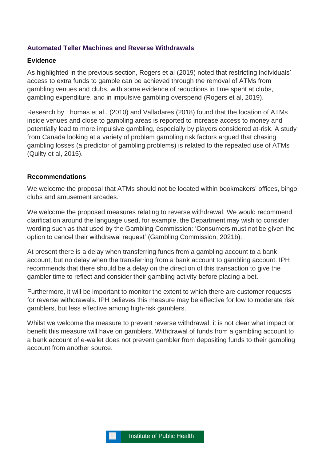## <span id="page-12-0"></span>**Automated Teller Machines and Reverse Withdrawals**

#### **Evidence**

As highlighted in the previous section, Rogers et al (2019) noted that restricting individuals' access to extra funds to gamble can be achieved through the removal of ATMs from gambling venues and clubs, with some evidence of reductions in time spent at clubs, gambling expenditure, and in impulsive gambling overspend (Rogers et al, 2019).

Research by Thomas et al., (2010) and Valladares (2018) found that the location of ATMs inside venues and close to gambling areas is reported to increase access to money and potentially lead to more impulsive gambling, especially by players considered at-risk. A study from Canada looking at a variety of problem gambling risk factors argued that chasing gambling losses (a predictor of gambling problems) is related to the repeated use of ATMs (Quilty et al, 2015).

#### **Recommendations**

We welcome the proposal that ATMs should not be located within bookmakers' offices, bingo clubs and amusement arcades.

We welcome the proposed measures relating to reverse withdrawal. We would recommend clarification around the language used, for example, the Department may wish to consider wording such as that used by the Gambling Commission: 'Consumers must not be given the option to cancel their withdrawal request' (Gambling Commission, 2021b).

At present there is a delay when transferring funds from a gambling account to a bank account, but no delay when the transferring from a bank account to gambling account. IPH recommends that there should be a delay on the direction of this transaction to give the gambler time to reflect and consider their gambling activity before placing a bet.

Furthermore, it will be important to monitor the extent to which there are customer requests for reverse withdrawals. IPH believes this measure may be effective for low to moderate risk gamblers, but less effective among high-risk gamblers.

Whilst we welcome the measure to prevent reverse withdrawal, it is not clear what impact or benefit this measure will have on gamblers. Withdrawal of funds from a gambling account to a bank account of e-wallet does not prevent gambler from depositing funds to their gambling account from another source.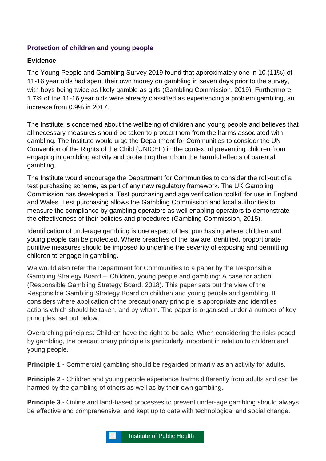# <span id="page-13-0"></span>**Protection of children and young people**

# **Evidence**

The Young People and Gambling Survey 2019 found that approximately one in 10 (11%) of 11-16 year olds had spent their own money on gambling in seven days prior to the survey, with boys being twice as likely gamble as girls (Gambling Commission, 2019). Furthermore, 1.7% of the 11-16 year olds were already classified as experiencing a problem gambling, an increase from 0.9% in 2017.

The Institute is concerned about the wellbeing of children and young people and believes that all necessary measures should be taken to protect them from the harms associated with gambling. The Institute would urge the Department for Communities to consider the UN Convention of the Rights of the Child (UNICEF) in the context of preventing children from engaging in gambling activity and protecting them from the harmful effects of parental gambling.

The Institute would encourage the Department for Communities to consider the roll-out of a test purchasing scheme, as part of any new regulatory framework. The UK Gambling Commission has developed a 'Test purchasing and age verification toolkit' for use in England and Wales. Test purchasing allows the Gambling Commission and local authorities to measure the compliance by gambling operators as well enabling operators to demonstrate the effectiveness of their policies and procedures (Gambling Commission, 2015).

Identification of underage gambling is one aspect of test purchasing where children and young people can be protected. Where breaches of the law are identified, proportionate punitive measures should be imposed to underline the severity of exposing and permitting children to engage in gambling.

We would also refer the Department for Communities to a paper by the Responsible Gambling Strategy Board – 'Children, young people and gambling: A case for action' (Responsible Gambling Strategy Board, 2018). This paper sets out the view of the Responsible Gambling Strategy Board on children and young people and gambling. It considers where application of the precautionary principle is appropriate and identifies actions which should be taken, and by whom. The paper is organised under a number of key principles, set out below.

Overarching principles: Children have the right to be safe. When considering the risks posed by gambling, the precautionary principle is particularly important in relation to children and young people.

**Principle 1 -** Commercial gambling should be regarded primarily as an activity for adults.

**Principle 2 -** Children and young people experience harms differently from adults and can be harmed by the gambling of others as well as by their own gambling.

**Principle 3 -** Online and land-based processes to prevent under-age gambling should always be effective and comprehensive, and kept up to date with technological and social change.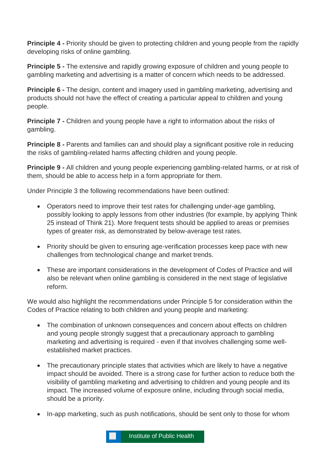**Principle 4 -** Priority should be given to protecting children and young people from the rapidly developing risks of online gambling.

**Principle 5 -** The extensive and rapidly growing exposure of children and young people to gambling marketing and advertising is a matter of concern which needs to be addressed.

**Principle 6 -** The design, content and imagery used in gambling marketing, advertising and products should not have the effect of creating a particular appeal to children and young people.

**Principle 7 -** Children and young people have a right to information about the risks of gambling.

**Principle 8 -** Parents and families can and should play a significant positive role in reducing the risks of gambling-related harms affecting children and young people.

**Principle 9 -** All children and young people experiencing gambling-related harms, or at risk of them, should be able to access help in a form appropriate for them.

Under Principle 3 the following recommendations have been outlined:

- Operators need to improve their test rates for challenging under-age gambling, possibly looking to apply lessons from other industries (for example, by applying Think 25 instead of Think 21). More frequent tests should be applied to areas or premises types of greater risk, as demonstrated by below-average test rates.
- Priority should be given to ensuring age-verification processes keep pace with new challenges from technological change and market trends.
- These are important considerations in the development of Codes of Practice and will also be relevant when online gambling is considered in the next stage of legislative reform.

We would also highlight the recommendations under Principle 5 for consideration within the Codes of Practice relating to both children and young people and marketing:

- The combination of unknown consequences and concern about effects on children and young people strongly suggest that a precautionary approach to gambling marketing and advertising is required - even if that involves challenging some wellestablished market practices.
- The precautionary principle states that activities which are likely to have a negative impact should be avoided. There is a strong case for further action to reduce both the visibility of gambling marketing and advertising to children and young people and its impact. The increased volume of exposure online, including through social media, should be a priority.
- In-app marketing, such as push notifications, should be sent only to those for whom

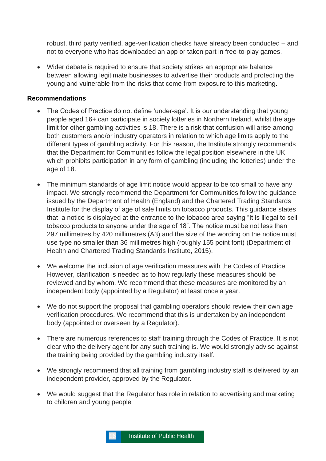robust, third party verified, age-verification checks have already been conducted – and not to everyone who has downloaded an app or taken part in free-to-play games.

• Wider debate is required to ensure that society strikes an appropriate balance between allowing legitimate businesses to advertise their products and protecting the young and vulnerable from the risks that come from exposure to this marketing.

#### **Recommendations**

- The Codes of Practice do not define 'under-age'. It is our understanding that young people aged 16+ can participate in society lotteries in Northern Ireland, whilst the age limit for other gambling activities is 18. There is a risk that confusion will arise among both customers and/or industry operators in relation to which age limits apply to the different types of gambling activity. For this reason, the Institute strongly recommends that the Department for Communities follow the legal position elsewhere in the UK which prohibits participation in any form of gambling (including the lotteries) under the age of 18.
- The minimum standards of age limit notice would appear to be too small to have any impact. We strongly recommend the Department for Communities follow the guidance issued by the Department of Health (England) and the Chartered Trading Standards Institute for the display of age of sale limits on tobacco products. This guidance states that a notice is displayed at the entrance to the tobacco area saying "It is illegal to sell tobacco products to anyone under the age of 18". The notice must be not less than 297 millimetres by 420 millimetres (A3) and the size of the wording on the notice must use type no smaller than 36 millimetres high (roughly 155 point font) (Department of Health and Chartered Trading Standards Institute, 2015).
- We welcome the inclusion of age verification measures with the Codes of Practice. However, clarification is needed as to how regularly these measures should be reviewed and by whom. We recommend that these measures are monitored by an independent body (appointed by a Regulator) at least once a year.
- We do not support the proposal that gambling operators should review their own age verification procedures. We recommend that this is undertaken by an independent body (appointed or overseen by a Regulator).
- There are numerous references to staff training through the Codes of Practice. It is not clear who the delivery agent for any such training is. We would strongly advise against the training being provided by the gambling industry itself.
- We strongly recommend that all training from gambling industry staff is delivered by an independent provider, approved by the Regulator.
- We would suggest that the Regulator has role in relation to advertising and marketing to children and young people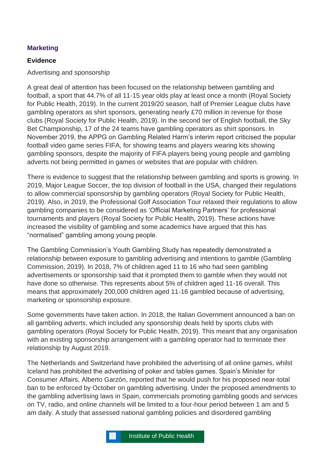# <span id="page-16-0"></span>**Marketing**

## **Evidence**

Advertising and sponsorship

A great deal of attention has been focused on the relationship between gambling and football, a sport that 44.7% of all 11-15 year olds play at least once a month (Royal Society for Public Health, 2019). In the current 2019/20 season, half of Premier League clubs have gambling operators as shirt sponsors, generating nearly £70 million in revenue for those clubs (Royal Society for Public Health, 2019). In the second tier of English football, the Sky Bet Championship, 17 of the 24 teams have gambling operators as shirt sponsors. In November 2019, the APPG on Gambling Related Harm's interim report criticised the popular football video game series FIFA, for showing teams and players wearing kits showing gambling sponsors, despite the majority of FIFA players being young people and gambling adverts not being permitted in games or websites that are popular with children.

There is evidence to suggest that the relationship between gambling and sports is growing. In 2019, Major League Soccer, the top division of football in the USA, changed their regulations to allow commercial sponsorship by gambling operators (Royal Society for Public Health, 2019). Also, in 2019, the Professional Golf Association Tour relaxed their regulations to allow gambling companies to be considered as 'Official Marketing Partners' for professional tournaments and players (Royal Society for Public Health, 2019). These actions have increased the visibility of gambling and some academics have argued that this has "normalised" gambling among young people.

The Gambling Commission's Youth Gambling Study has repeatedly demonstrated a relationship between exposure to gambling advertising and intentions to gamble (Gambling Commission, 2019). In 2018, 7% of children aged 11 to 16 who had seen gambling advertisements or sponsorship said that it prompted them to gamble when they would not have done so otherwise. This represents about 5% of children aged 11-16 overall. This means that approximately 200,000 children aged 11-16 gambled because of advertising, marketing or sponsorship exposure.

Some governments have taken action. In 2018, the Italian Government announced a ban on all gambling adverts, which included any sponsorship deals held by sports clubs with gambling operators (Royal Society for Public Health, 2019). This meant that any organisation with an existing sponsorship arrangement with a gambling operator had to terminate their relationship by August 2019.

The Netherlands and Switzerland have prohibited the advertising of all online games, whilst Iceland has prohibited the advertising of poker and tables games. Spain's Minister for Consumer Affairs, Alberto Garzón, reported that he would push for his proposed near-total ban to be enforced by October on gambling advertising. Under the proposed amendments to the gambling advertising laws in Spain, commercials promoting gambling goods and services on TV, radio, and online channels will be limited to a four-hour period between 1 am and 5 am daily. A study that assessed national gambling policies and disordered gambling

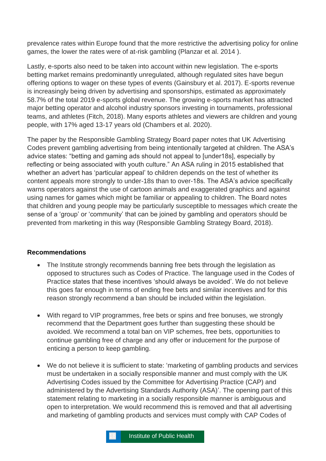prevalence rates within Europe found that the more restrictive the advertising policy for online games, the lower the rates were of at-risk gambling (Planzar et al. 2014 ).

Lastly, e-sports also need to be taken into account within new legislation. The e-sports betting market remains predominantly unregulated, although regulated sites have begun offering options to wager on these types of events (Gainsbury et al. 2017). E-sports revenue is increasingly being driven by advertising and sponsorships, estimated as approximately 58.7% of the total 2019 e-sports global revenue. The growing e-sports market has attracted major betting operator and alcohol industry sponsors investing in tournaments, professional teams, and athletes (Fitch, 2018). Many esports athletes and viewers are children and young people, with 17% aged 13-17 years old (Chambers et al. 2020).

The paper by the Responsible Gambling Strategy Board paper notes that UK Advertising Codes prevent gambling advertising from being intentionally targeted at children. The ASA's advice states: "betting and gaming ads should not appeal to [under18s], especially by reflecting or being associated with youth culture." An ASA ruling in 2015 established that whether an advert has 'particular appeal' to children depends on the test of whether its content appeals more strongly to under-18s than to over-18s. The ASA's advice specifically warns operators against the use of cartoon animals and exaggerated graphics and against using names for games which might be familiar or appealing to children. The Board notes that children and young people may be particularly susceptible to messages which create the sense of a 'group' or 'community' that can be joined by gambling and operators should be prevented from marketing in this way (Responsible Gambling Strategy Board, 2018).

#### **Recommendations**

- The Institute strongly recommends banning free bets through the legislation as opposed to structures such as Codes of Practice. The language used in the Codes of Practice states that these incentives 'should always be avoided'. We do not believe this goes far enough in terms of ending free bets and similar incentives and for this reason strongly recommend a ban should be included within the legislation.
- With regard to VIP programmes, free bets or spins and free bonuses, we strongly recommend that the Department goes further than suggesting these should be avoided. We recommend a total ban on VIP schemes, free bets, opportunities to continue gambling free of charge and any offer or inducement for the purpose of enticing a person to keep gambling.
- We do not believe it is sufficient to state: 'marketing of gambling products and services must be undertaken in a socially responsible manner and must comply with the UK Advertising Codes issued by the Committee for Advertising Practice (CAP) and administered by the Advertising Standards Authority (ASA)'. The opening part of this statement relating to marketing in a socially responsible manner is ambiguous and open to interpretation. We would recommend this is removed and that all advertising and marketing of gambling products and services must comply with CAP Codes of

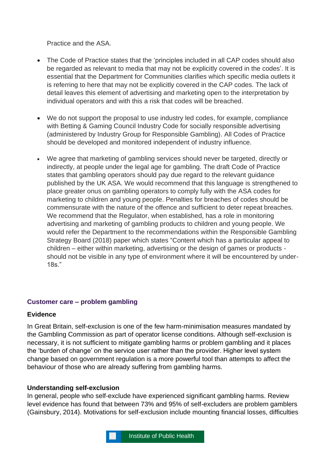Practice and the ASA.

- The Code of Practice states that the 'principles included in all CAP codes should also be regarded as relevant to media that may not be explicitly covered in the codes'. It is essential that the Department for Communities clarifies which specific media outlets it is referring to here that may not be explicitly covered in the CAP codes. The lack of detail leaves this element of advertising and marketing open to the interpretation by individual operators and with this a risk that codes will be breached.
- We do not support the proposal to use industry led codes, for example, compliance with Betting & Gaming Council Industry Code for socially responsible advertising (administered by Industry Group for Responsible Gambling). All Codes of Practice should be developed and monitored independent of industry influence.
- We agree that marketing of gambling services should never be targeted, directly or indirectly, at people under the legal age for gambling. The draft Code of Practice states that gambling operators should pay due regard to the relevant guidance published by the UK ASA. We would recommend that this language is strengthened to place greater onus on gambling operators to comply fully with the ASA codes for marketing to children and young people. Penalties for breaches of codes should be commensurate with the nature of the offence and sufficient to deter repeat breaches. We recommend that the Regulator, when established, has a role in monitoring advertising and marketing of gambling products to children and young people. We would refer the Department to the recommendations within the Responsible Gambling Strategy Board (2018) paper which states "Content which has a particular appeal to children – either within marketing, advertising or the design of games or products should not be visible in any type of environment where it will be encountered by under-18s."

# <span id="page-18-0"></span>**Customer care – problem gambling**

#### **Evidence**

In Great Britain, self-exclusion is one of the few harm-minimisation measures mandated by the Gambling Commission as part of operator license conditions. Although self-exclusion is necessary, it is not sufficient to mitigate gambling harms or problem gambling and it places the 'burden of change' on the service user rather than the provider. Higher level system change based on government regulation is a more powerful tool than attempts to affect the behaviour of those who are already suffering from gambling harms.

# **Understanding self-exclusion**

In general, people who self-exclude have experienced significant gambling harms. Review level evidence has found that between 73% and 95% of self-excluders are problem gamblers (Gainsbury, 2014). Motivations for self-exclusion include mounting financial losses, difficulties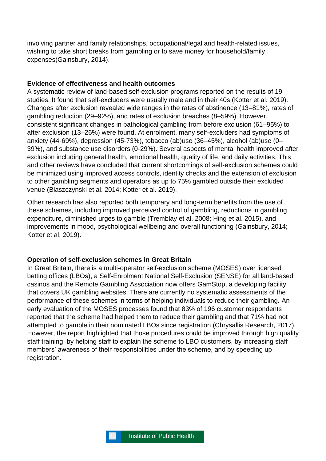involving partner and family relationships, occupational/legal and health-related issues, wishing to take short breaks from gambling or to save money for household/family expenses(Gainsbury, 2014).

#### **Evidence of effectiveness and health outcomes**

A systematic review of land-based self-exclusion programs reported on the results of 19 studies. It found that self-excluders were usually male and in their 40s (Kotter et al. 2019). Changes after exclusion revealed wide ranges in the rates of abstinence (13–81%), rates of gambling reduction (29–92%), and rates of exclusion breaches (8–59%). However, consistent significant changes in pathological gambling from before exclusion (61–95%) to after exclusion (13–26%) were found. At enrolment, many self-excluders had symptoms of anxiety (44-69%), depression (45-73%), tobacco (ab)use (36–45%), alcohol (ab)use (0– 39%), and substance use disorders (0-29%). Several aspects of mental health improved after exclusion including general health, emotional health, quality of life, and daily activities. This and other reviews have concluded that current shortcomings of self-exclusion schemes could be minimized using improved access controls, identity checks and the extension of exclusion to other gambling segments and operators as up to 75% gambled outside their excluded venue (Blaszczynski et al. 2014; Kotter et al. 2019).

Other research has also reported both temporary and long-term benefits from the use of these schemes, including improved perceived control of gambling, reductions in gambling expenditure, diminished urges to gamble (Tremblay et al. 2008; Hing et al. 2015), and improvements in mood, psychological wellbeing and overall functioning (Gainsbury, 2014; Kotter et al. 2019).

#### **Operation of self-exclusion schemes in Great Britain**

In Great Britain, there is a multi-operator self-exclusion scheme (MOSES) over licensed betting offices (LBOs), a Self-Enrolment National Self-Exclusion (SENSE) for all land-based casinos and the Remote Gambling Association now offers GamStop, a developing facility that covers UK gambling websites. There are currently no systematic assessments of the performance of these schemes in terms of helping individuals to reduce their gambling. An early evaluation of the MOSES processes found that 83% of 196 customer respondents reported that the scheme had helped them to reduce their gambling and that 71% had not attempted to gamble in their nominated LBOs since registration (Chrysallis Research, 2017). However, the report highlighted that those procedures could be improved through high quality staff training, by helping staff to explain the scheme to LBO customers, by increasing staff members' awareness of their responsibilities under the scheme, and by speeding up registration.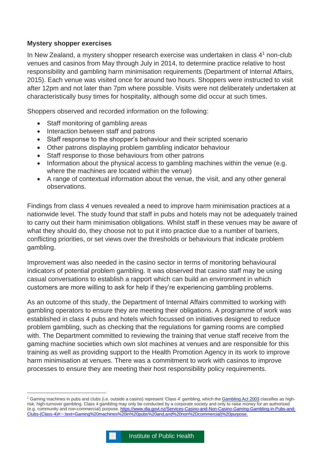## **Mystery shopper exercises**

In New Zealand, a mystery shopper research exercise was undertaken in class  $4<sup>1</sup>$  non-club venues and casinos from May through July in 2014, to determine practice relative to host responsibility and gambling harm minimisation requirements (Department of Internal Affairs, 2015). Each venue was visited once for around two hours. Shoppers were instructed to visit after 12pm and not later than 7pm where possible. Visits were not deliberately undertaken at characteristically busy times for hospitality, although some did occur at such times.

Shoppers observed and recorded information on the following:

- Staff monitoring of gambling areas
- Interaction between staff and patrons
- Staff response to the shopper's behaviour and their scripted scenario
- Other patrons displaying problem gambling indicator behaviour
- Staff response to those behaviours from other patrons
- Information about the physical access to gambling machines within the venue (e.g. where the machines are located within the venue)
- A range of contextual information about the venue, the visit, and any other general observations.

Findings from class 4 venues revealed a need to improve harm minimisation practices at a nationwide level. The study found that staff in pubs and hotels may not be adequately trained to carry out their harm minimisation obligations. Whilst staff in these venues may be aware of what they should do, they choose not to put it into practice due to a number of barriers, conflicting priorities, or set views over the thresholds or behaviours that indicate problem gambling.

Improvement was also needed in the casino sector in terms of monitoring behavioural indicators of potential problem gambling. It was observed that casino staff may be using casual conversations to establish a rapport which can build an environment in which customers are more willing to ask for help if they're experiencing gambling problems.

As an outcome of this study, the Department of Internal Affairs committed to working with gambling operators to ensure they are meeting their obligations. A programme of work was established in class 4 pubs and hotels which focussed on initiatives designed to reduce problem gambling, such as checking that the regulations for gaming rooms are complied with. The Department committed to reviewing the training that venue staff receive from the gaming machine societies which own slot machines at venues and are responsible for this training as well as providing support to the Health Promotion Agency in its work to improve harm minimisation at venues. There was a commitment to work with casinos to improve processes to ensure they are meeting their host responsibility policy requirements.

<sup>&</sup>lt;sup>1</sup> Gaming machines in pubs and clubs (i.e. outside a casino) represent 'Class 4' gambling, which the [Gambling](https://www.dia.govt.nz/diawebsite.NSF/wpg_URL/Services-Casino-and-Non-Casino-Gaming-Gambling-Act-2003?OpenDocument) Act 2003 classifies as highrisk, high-turnover gambling. Class 4 gambling may only be conducted by a corporate society and only to raise money for an authorised (e.g. community and non-commercial) purpose. [https://www.dia.govt.nz/Services-Casino-and-Non-Casino-Gaming-Gambling-in-Pubs-and-](https://www.dia.govt.nz/Services-Casino-and-Non-Casino-Gaming-Gambling-in-Pubs-and-Clubs-(Class-4)#:~:text=Gaming%20machines%20in%20pubs%20and,and%20non%2Dcommercial)%20purpose.)[Clubs-\(Class-4\)#:~:text=Gaming%20machines%20in%20pubs%20and,and%20non%2Dcommercial\)%20purpose.](https://www.dia.govt.nz/Services-Casino-and-Non-Casino-Gaming-Gambling-in-Pubs-and-Clubs-(Class-4)#:~:text=Gaming%20machines%20in%20pubs%20and,and%20non%2Dcommercial)%20purpose.)

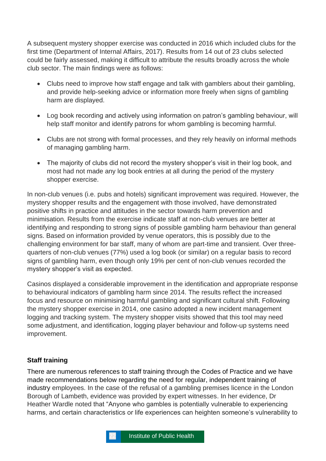A subsequent mystery shopper exercise was conducted in 2016 which included clubs for the first time (Department of Internal Affairs, 2017). Results from 14 out of 23 clubs selected could be fairly assessed, making it difficult to attribute the results broadly across the whole club sector. The main findings were as follows:

- Clubs need to improve how staff engage and talk with gamblers about their gambling, and provide help-seeking advice or information more freely when signs of gambling harm are displayed.
- Log book recording and actively using information on patron's gambling behaviour, will help staff monitor and identify patrons for whom gambling is becoming harmful.
- Clubs are not strong with formal processes, and they rely heavily on informal methods of managing gambling harm.
- The majority of clubs did not record the mystery shopper's visit in their log book, and most had not made any log book entries at all during the period of the mystery shopper exercise.

In non-club venues (i.e. pubs and hotels) significant improvement was required. However, the mystery shopper results and the engagement with those involved, have demonstrated positive shifts in practice and attitudes in the sector towards harm prevention and minimisation. Results from the exercise indicate staff at non-club venues are better at identifying and responding to strong signs of possible gambling harm behaviour than general signs. Based on information provided by venue operators, this is possibly due to the challenging environment for bar staff, many of whom are part-time and transient. Over threequarters of non-club venues (77%) used a log book (or similar) on a regular basis to record signs of gambling harm, even though only 19% per cent of non-club venues recorded the mystery shopper's visit as expected.

Casinos displayed a considerable improvement in the identification and appropriate response to behavioural indicators of gambling harm since 2014. The results reflect the increased focus and resource on minimising harmful gambling and significant cultural shift. Following the mystery shopper exercise in 2014, one casino adopted a new incident management logging and tracking system. The mystery shopper visits showed that this tool may need some adjustment, and identification, logging player behaviour and follow-up systems need improvement.

# **Staff training**

There are numerous references to staff training through the Codes of Practice and we have made recommendations below regarding the need for regular, independent training of industry employees. In the case of the refusal of a gambling premises licence in the London Borough of Lambeth, evidence was provided by expert witnesses. In her evidence, Dr Heather Wardle noted that "Anyone who gambles is potentially vulnerable to experiencing harms, and certain characteristics or life experiences can heighten someone's vulnerability to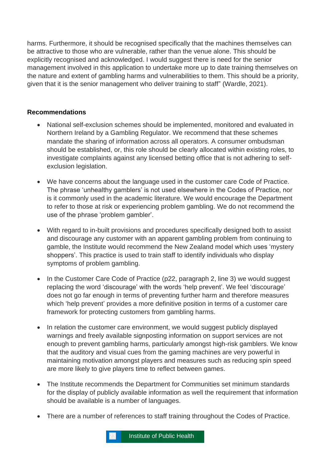harms. Furthermore, it should be recognised specifically that the machines themselves can be attractive to those who are vulnerable, rather than the venue alone. This should be explicitly recognised and acknowledged. I would suggest there is need for the senior management involved in this application to undertake more up to date training themselves on the nature and extent of gambling harms and vulnerabilities to them. This should be a priority, given that it is the senior management who deliver training to staff" (Wardle, 2021).

## **Recommendations**

- National self-exclusion schemes should be implemented, monitored and evaluated in Northern Ireland by a Gambling Regulator. We recommend that these schemes mandate the sharing of information across all operators. A consumer ombudsman should be established, or, this role should be clearly allocated within existing roles, to investigate complaints against any licensed betting office that is not adhering to selfexclusion legislation.
- We have concerns about the language used in the customer care Code of Practice. The phrase 'unhealthy gamblers' is not used elsewhere in the Codes of Practice, nor is it commonly used in the academic literature. We would encourage the Department to refer to those at risk or experiencing problem gambling. We do not recommend the use of the phrase 'problem gambler'.
- With regard to in-built provisions and procedures specifically designed both to assist and discourage any customer with an apparent gambling problem from continuing to gamble, the Institute would recommend the New Zealand model which uses 'mystery shoppers'. This practice is used to train staff to identify individuals who display symptoms of problem gambling.
- In the Customer Care Code of Practice (p22, paragraph 2, line 3) we would suggest replacing the word 'discourage' with the words 'help prevent'. We feel 'discourage' does not go far enough in terms of preventing further harm and therefore measures which 'help prevent' provides a more definitive position in terms of a customer care framework for protecting customers from gambling harms.
- In relation the customer care environment, we would suggest publicly displayed warnings and freely available signposting information on support services are not enough to prevent gambling harms, particularly amongst high-risk gamblers. We know that the auditory and visual cues from the gaming machines are very powerful in maintaining motivation amongst players and measures such as reducing spin speed are more likely to give players time to reflect between games.
- The Institute recommends the Department for Communities set minimum standards for the display of publicly available information as well the requirement that information should be available is a number of languages.
- There are a number of references to staff training throughout the Codes of Practice.

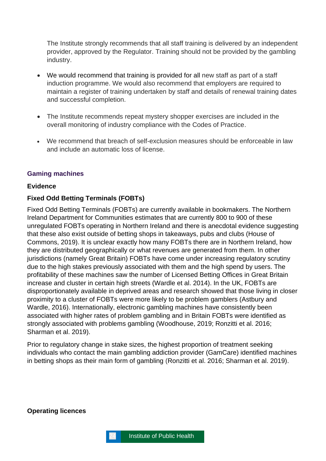The Institute strongly recommends that all staff training is delivered by an independent provider, approved by the Regulator. Training should not be provided by the gambling industry.

- We would recommend that training is provided for all new staff as part of a staff induction programme. We would also recommend that employers are required to maintain a register of training undertaken by staff and details of renewal training dates and successful completion.
- The Institute recommends repeat mystery shopper exercises are included in the overall monitoring of industry compliance with the Codes of Practice.
- We recommend that breach of self-exclusion measures should be enforceable in law and include an automatic loss of license.

## <span id="page-23-0"></span>**Gaming machines**

#### **Evidence**

## **Fixed Odd Betting Terminals (FOBTs)**

Fixed Odd Betting Terminals (FOBTs) are currently available in bookmakers. The Northern Ireland Department for Communities estimates that are currently 800 to 900 of these unregulated FOBTs operating in Northern Ireland and there is anecdotal evidence suggesting that these also exist outside of betting shops in takeaways, pubs and clubs (House of Commons, 2019). It is unclear exactly how many FOBTs there are in Northern Ireland, how they are distributed geographically or what revenues are generated from them. In other jurisdictions (namely Great Britain) FOBTs have come under increasing regulatory scrutiny due to the high stakes previously associated with them and the high spend by users. The profitability of these machines saw the number of Licensed Betting Offices in Great Britain increase and cluster in certain high streets (Wardle et al. 2014). In the UK, FOBTs are disproportionately available in deprived areas and research showed that those living in closer proximity to a cluster of FOBTs were more likely to be problem gamblers (Astbury and Wardle, 2016). Internationally, electronic gambling machines have consistently been associated with higher rates of problem gambling and in Britain FOBTs were identified as strongly associated with problems gambling (Woodhouse, 2019; Ronzitti et al. 2016; Sharman et al. 2019).

Prior to regulatory change in stake sizes, the highest proportion of treatment seeking individuals who contact the main gambling addiction provider (GamCare) identified machines in betting shops as their main form of gambling (Ronzitti et al. 2016; Sharman et al. 2019).

**Operating licences** 

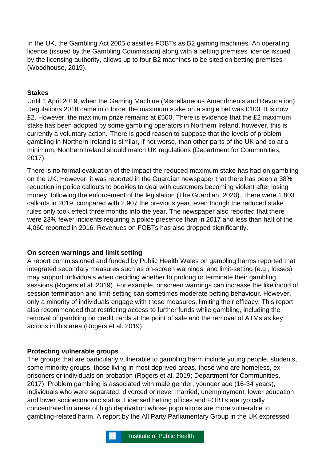In the UK, the Gambling Act 2005 classifies FOBTs as B2 gaming machines. An operating licence (issued by the Gambling Commission) along with a betting premises licence issued by the licensing authority, allows up to four B2 machines to be sited on betting premises (Woodhouse, 2019).

## **Stakes**

Until 1 April 2019, when the Gaming Machine (Miscellaneous Amendments and Revocation) Regulations 2018 came into force, the maximum stake on a single bet was £100. It is now £2. However, the maximum prize remains at £500. There is evidence that the £2 maximum stake has been adopted by some gambling operators in Northern Ireland, however, this is currently a voluntary action. There is good reason to suppose that the levels of problem gambling in Northern Ireland is similar, if not worse, than other parts of the UK and so at a minimum, Northern Ireland should match UK regulations (Department for Communities, 2017).

There is no formal evaluation of the impact the reduced maximum stake has had on gambling on the UK. However, it was reported in the Guardian newspaper that there has been a 38% reduction in police callouts to bookies to deal with customers becoming violent after losing money, following the enforcement of the legislation (The Guardian, 2020). There were 1,803 callouts in 2019, compared with 2,907 the previous year, even though the reduced stake rules only took effect three months into the year. The newspaper also reported that there were 23% fewer incidents requiring a police presence than in 2017 and less than half of the 4,060 reported in 2016. Revenues on FOBTs has also dropped significantly.

#### **On screen warnings and limit setting**

A report commissioned and funded by Public Health Wales on gambling harms reported that integrated secondary measures such as on-screen warnings, and limit-setting (e.g., losses) may support individuals when deciding whether to prolong or terminate their gambling sessions (Rogers et al. 2019). For example, onscreen warnings can increase the likelihood of session termination and limit-setting can sometimes moderate betting behaviour. However, only a minority of individuals engage with these measures, limiting their efficacy. This report also recommended that restricting access to further funds while gambling, including the removal of gambling on credit cards at the point of sale and the removal of ATMs as key actions in this area (Rogers et al. 2019).

#### **Protecting vulnerable groups**

The groups that are particularly vulnerable to gambling harm include young people, students, some minority groups, those living in most deprived areas, those who are homeless, exprisoners or individuals on probation (Rogers et al. 2019; Department for Communities, 2017). Problem gambling is associated with male gender, younger age (16-34 years), individuals who were separated, divorced or never married, unemployment, lower education and lower socioeconomic status. Licensed betting offices and FOBTs are typically concentrated in areas of high deprivation whose populations are more vulnerable to gambling-related harm. A report by the All Party Parliamentary Group in the UK expressed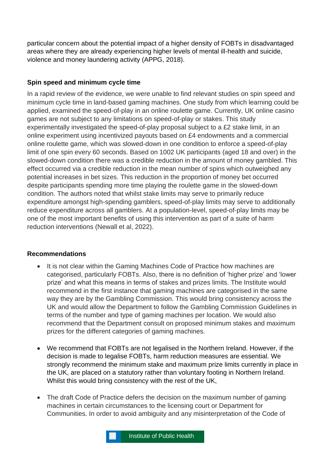particular concern about the potential impact of a higher density of FOBTs in disadvantaged areas where they are already experiencing higher levels of mental ill-health and suicide, violence and money laundering activity (APPG, 2018).

# **Spin speed and minimum cycle time**

In a rapid review of the evidence, we were unable to find relevant studies on spin speed and minimum cycle time in land-based gaming machines. One study from which learning could be applied, examined the speed-of-play in an online roulette game. Currently, UK online casino games are not subject to any limitations on speed-of-play or stakes. This study experimentally investigated the speed-of-play proposal subject to a £2 stake limit, in an online experiment using incentivized payouts based on £4 endowments and a commercial online roulette game, which was slowed-down in one condition to enforce a speed-of-play limit of one spin every 60 seconds. Based on 1002 UK participants (aged 18 and over) in the slowed-down condition there was a credible reduction in the amount of money gambled. This effect occurred via a credible reduction in the mean number of spins which outweighed any potential increases in bet sizes. This reduction in the proportion of money bet occurred despite participants spending more time playing the roulette game in the slowed-down condition. The authors noted that whilst stake limits may serve to primarily reduce expenditure amongst high-spending gamblers, speed-of-play limits may serve to additionally reduce expenditure across all gamblers. At a population-level, speed-of-play limits may be one of the most important benefits of using this intervention as part of a suite of harm reduction interventions (Newall et al, 2022).

# **Recommendations**

- It is not clear within the Gaming Machines Code of Practice how machines are categorised, particularly FOBTs. Also, there is no definition of 'higher prize' and 'lower prize' and what this means in terms of stakes and prizes limits. The Institute would recommend in the first instance that gaming machines are categorised in the same way they are by the Gambling Commission. This would bring consistency across the UK and would allow the Department to follow the Gambling Commission Guidelines in terms of the number and type of gaming machines per location. We would also recommend that the Department consult on proposed minimum stakes and maximum prizes for the different categories of gaming machines.
- We recommend that FOBTs are not legalised in the Northern Ireland. However, if the decision is made to legalise FOBTs, harm reduction measures are essential. We strongly recommend the minimum stake and maximum prize limits currently in place in the UK, are placed on a statutory rather than voluntary footing in Northern Ireland. Whilst this would bring consistency with the rest of the UK,
- The draft Code of Practice defers the decision on the maximum number of gaming machines in certain circumstances to the licensing court or Department for Communities. In order to avoid ambiguity and any misinterpretation of the Code of

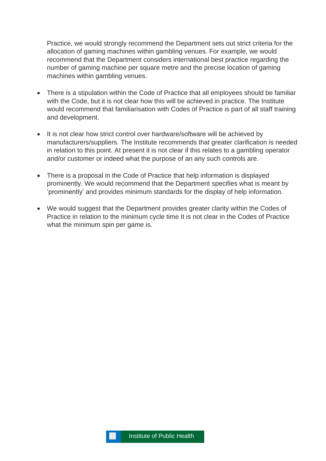Practice, we would strongly recommend the Department sets out strict criteria for the allocation of gaming machines within gambling venues. For example, we would recommend that the Department considers international best practice regarding the number of gaming machine per square metre and the precise location of gaming machines within gambling venues.

- There is a stipulation within the Code of Practice that all employees should be familiar with the Code, but it is not clear how this will be achieved in practice. The Institute would recommend that familiarisation with Codes of Practice is part of all staff training and development.
- It is not clear how strict control over hardware/software will be achieved by manufacturers/suppliers. The Institute recommends that greater clarification is needed in relation to this point. At present it is not clear if this relates to a gambling operator and/or customer or indeed what the purpose of an any such controls are.
- There is a proposal in the Code of Practice that help information is displayed prominently. We would recommend that the Department specifies what is meant by 'prominently' and provides minimum standards for the display of help information.
- We would suggest that the Department provides greater clarity within the Codes of Practice in relation to the minimum cycle time It is not clear in the Codes of Practice what the minimum spin per game is.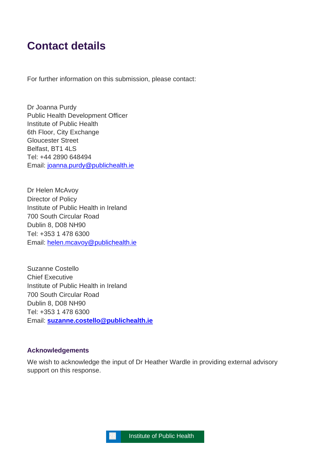# <span id="page-27-0"></span>**Contact details**

For further information on this submission, please contact:

Dr Joanna Purdy Public Health Development Officer Institute of Public Health 6th Floor, City Exchange Gloucester Street Belfast, BT1 4LS Tel: +44 2890 648494 Email: [joanna.purdy@publichealth.ie](mailto:joanna.purdy@publichealth.ie)

Dr Helen McAvoy Director of Policy Institute of Public Health in Ireland 700 South Circular Road Dublin 8, D08 NH90 Tel: +353 1 478 6300 Email: [helen.mcavoy@publichealth.ie](mailto:helen.mcavoy@publichealth.ie)

Suzanne Costello Chief Executive Institute of Public Health in Ireland 700 South Circular Road Dublin 8, D08 NH90 Tel: +353 1 478 6300 Email: **[suzanne.costello@publichealth.ie](mailto:suzanne.costello@publichealth.ie)**

#### **Acknowledgements**

We wish to acknowledge the input of Dr Heather Wardle in providing external advisory support on this response.

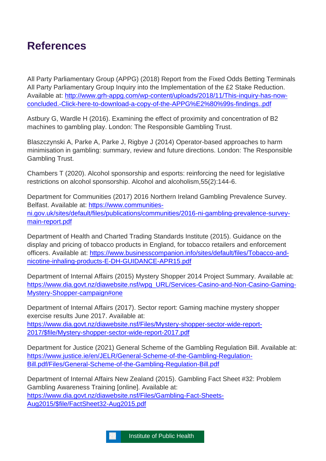# <span id="page-28-0"></span>**References**

All Party Parliamentary Group (APPG) (2018) Report from the Fixed Odds Betting Terminals All Party Parliamentary Group Inquiry into the Implementation of the £2 Stake Reduction. Available at: [http://www.grh-appg.com/wp-content/uploads/2018/11/This-inquiry-has-now](http://www.grh-appg.com/wp-content/uploads/2018/11/This-inquiry-has-now-concluded.-Click-here-to-download-a-copy-of-the-APPG%E2%80%99s-findings..pdf)[concluded.-Click-here-to-download-a-copy-of-the-APPG%E2%80%99s-findings..pdf](http://www.grh-appg.com/wp-content/uploads/2018/11/This-inquiry-has-now-concluded.-Click-here-to-download-a-copy-of-the-APPG%E2%80%99s-findings..pdf)

Astbury G, Wardle H (2016). Examining the effect of proximity and concentration of B2 machines to gambling play. London: The Responsible Gambling Trust.

Blaszczynski A, Parke A, Parke J, Rigbye J (2014) Operator-based approaches to harm minimisation in gambling: summary, review and future directions. London: The Responsible Gambling Trust.

Chambers T (2020). Alcohol sponsorship and esports: reinforcing the need for legislative restrictions on alcohol sponsorship. Alcohol and alcoholism,55(2):144-6.

Department for Communities (2017) 2016 Northern Ireland Gambling Prevalence Survey. Belfast. Available at: [https://www.communities](https://www.communities-ni.gov.uk/sites/default/files/publications/communities/2016-ni-gambling-prevalence-survey-main-report.pdf)[ni.gov.uk/sites/default/files/publications/communities/2016-ni-gambling-prevalence-survey](https://www.communities-ni.gov.uk/sites/default/files/publications/communities/2016-ni-gambling-prevalence-survey-main-report.pdf)[main-report.pdf](https://www.communities-ni.gov.uk/sites/default/files/publications/communities/2016-ni-gambling-prevalence-survey-main-report.pdf)

Department of Health and Charted Trading Standards Institute (2015). Guidance on the display and pricing of tobacco products in England, for tobacco retailers and enforcement officers. Available at: [https://www.businesscompanion.info/sites/default/files/Tobacco-and](https://www.businesscompanion.info/sites/default/files/Tobacco-and-nicotine-inhaling-products-E-DH-GUIDANCE-APR15.pdf)[nicotine-inhaling-products-E-DH-GUIDANCE-APR15.pdf](https://www.businesscompanion.info/sites/default/files/Tobacco-and-nicotine-inhaling-products-E-DH-GUIDANCE-APR15.pdf)

Department of Internal Affairs (2015) Mystery Shopper 2014 Project Summary. Available at: [https://www.dia.govt.nz/diawebsite.nsf/wpg\\_URL/Services-Casino-and-Non-Casino-Gaming-](https://www.dia.govt.nz/diawebsite.nsf/wpg_URL/Services-Casino-and-Non-Casino-Gaming-Mystery-Shopper-campaign#one)[Mystery-Shopper-campaign#one](https://www.dia.govt.nz/diawebsite.nsf/wpg_URL/Services-Casino-and-Non-Casino-Gaming-Mystery-Shopper-campaign#one)

Department of Internal Affairs (2017). Sector report: Gaming machine mystery shopper exercise results June 2017. Available at: [https://www.dia.govt.nz/diawebsite.nsf/Files/Mystery-shopper-sector-wide-report-](https://www.dia.govt.nz/diawebsite.nsf/Files/Mystery-shopper-sector-wide-report-2017/$file/Mystery-shopper-sector-wide-report-2017.pdf)[2017/\\$file/Mystery-shopper-sector-wide-report-2017.pdf](https://www.dia.govt.nz/diawebsite.nsf/Files/Mystery-shopper-sector-wide-report-2017/$file/Mystery-shopper-sector-wide-report-2017.pdf)

Department for Justice (2021) General Scheme of the Gambling Regulation Bill. Available at: [https://www.justice.ie/en/JELR/General-Scheme-of-the-Gambling-Regulation-](https://www.justice.ie/en/JELR/General-Scheme-of-the-Gambling-Regulation-Bill.pdf/Files/General-Scheme-of-the-Gambling-Regulation-Bill.pdf)[Bill.pdf/Files/General-Scheme-of-the-Gambling-Regulation-Bill.pdf](https://www.justice.ie/en/JELR/General-Scheme-of-the-Gambling-Regulation-Bill.pdf/Files/General-Scheme-of-the-Gambling-Regulation-Bill.pdf)

Department of Internal Affairs New Zealand (2015). Gambling Fact Sheet #32: Problem Gambling Awareness Training [online]. Available at: [https://www.dia.govt.nz/diawebsite.nsf/Files/Gambling-Fact-Sheets-](https://www.dia.govt.nz/diawebsite.nsf/Files/Gambling-Fact-Sheets-Aug2015/$file/FactSheet32-Aug2015.pdf)[Aug2015/\\$file/FactSheet32-Aug2015.pdf](https://www.dia.govt.nz/diawebsite.nsf/Files/Gambling-Fact-Sheets-Aug2015/$file/FactSheet32-Aug2015.pdf)

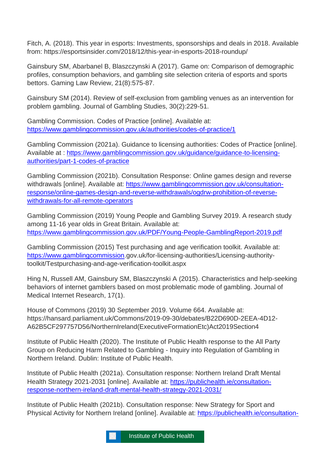Fitch, A. (2018). This year in esports: Investments, sponsorships and deals in 2018. Available from: https://esportsinsider.com/2018/12/this-year-in-esports-2018-roundup/

Gainsbury SM, Abarbanel B, Blaszczynski A (2017). Game on: Comparison of demographic profiles, consumption behaviors, and gambling site selection criteria of esports and sports bettors. Gaming Law Review, 21(8):575-87.

Gainsbury SM (2014). Review of self-exclusion from gambling venues as an intervention for problem gambling. Journal of Gambling Studies, 30(2):229-51.

Gambling Commission. Codes of Practice [online]. Available at: <https://www.gamblingcommission.gov.uk/authorities/codes-of-practice/1>

Gambling Commission (2021a). Guidance to licensing authorities: Codes of Practice [online]. Available at : [https://www.gamblingcommission.gov.uk/guidance/guidance-to-licensing](https://www.gamblingcommission.gov.uk/guidance/guidance-to-licensing-authorities/part-1-codes-of-practice)[authorities/part-1-codes-of-practice](https://www.gamblingcommission.gov.uk/guidance/guidance-to-licensing-authorities/part-1-codes-of-practice)

Gambling Commission (2021b). Consultation Response: Online games design and reverse withdrawals [online]. Available at: [https://www.gamblingcommission.gov.uk/consultation](https://www.gamblingcommission.gov.uk/consultation-response/online-games-design-and-reverse-withdrawals/ogdrw-prohibition-of-reverse-withdrawals-for-all-remote-operators)[response/online-games-design-and-reverse-withdrawals/ogdrw-prohibition-of-reverse](https://www.gamblingcommission.gov.uk/consultation-response/online-games-design-and-reverse-withdrawals/ogdrw-prohibition-of-reverse-withdrawals-for-all-remote-operators)[withdrawals-for-all-remote-operators](https://www.gamblingcommission.gov.uk/consultation-response/online-games-design-and-reverse-withdrawals/ogdrw-prohibition-of-reverse-withdrawals-for-all-remote-operators)

Gambling Commission (2019) Young People and Gambling Survey 2019. A research study among 11-16 year olds in Great Britain. Available at: <https://www.gamblingcommission.gov.uk/PDF/Young-People-GamblingReport-2019.pdf>

Gambling Commission (2015) Test purchasing and age verification toolkit. Available at: [https://www.gamblingcommission.](https://www.gamblingcommission/)gov.uk/for-licensing-authorities/Licensing-authoritytoolkit/Testpurchasing-and-age-verification-toolkit.aspx

Hing N, Russell AM, Gainsbury SM, Blaszczynski A (2015). Characteristics and help-seeking behaviors of internet gamblers based on most problematic mode of gambling. Journal of Medical Internet Research, 17(1).

House of Commons (2019) 30 September 2019. Volume 664. Available at: https://hansard.parliament.uk/Commons/2019-09-30/debates/B22D690D-2EEA-4D12- A62B5CF297757D56/NorthernIreland(ExecutiveFormationEtc)Act2019Section4

Institute of Public Health (2020). The Institute of Public Health response to the All Party Group on Reducing Harm Related to Gambling - Inquiry into Regulation of Gambling in Northern Ireland. Dublin: Institute of Public Health.

Institute of Public Health (2021a). Consultation response: Northern Ireland Draft Mental Health Strategy 2021-2031 [online]. Available at: [https://publichealth.ie/consultation](https://publichealth.ie/consultation-response-northern-ireland-draft-mental-health-strategy-2021-2031/)[response-northern-ireland-draft-mental-health-strategy-2021-2031/](https://publichealth.ie/consultation-response-northern-ireland-draft-mental-health-strategy-2021-2031/)

Institute of Public Health (2021b). Consultation response: New Strategy for Sport and Physical Activity for Northern Ireland [online]. Available at: [https://publichealth.ie/consultation-](https://publichealth.ie/consultation-response-new-strategy-for-sport-and-physical-activity-for-northern-ireland/)

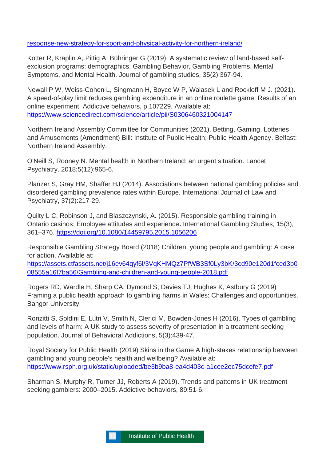## [response-new-strategy-for-sport-and-physical-activity-for-northern-ireland/](https://publichealth.ie/consultation-response-new-strategy-for-sport-and-physical-activity-for-northern-ireland/)

Kotter R, Kräplin A, Pittig A, Bühringer G (2019). A systematic review of land-based selfexclusion programs: demographics, Gambling Behavior, Gambling Problems, Mental Symptoms, and Mental Health. Journal of gambling studies, 35(2):367-94.

Newall P W, Weiss-Cohen L, Singmann H, Boyce W P, Walasek L and Rockloff M J. (2021). A speed-of-play limit reduces gambling expenditure in an online roulette game: Results of an online experiment. Addictive behaviors, p.107229. Available at: <https://www.sciencedirect.com/science/article/pii/S0306460321004147>

Northern Ireland Assembly Committee for Communities (2021). Betting, Gaming, Lotteries and Amusements (Amendment) Bill: Institute of Public Health; Public Health Agency. Belfast: Northern Ireland Assembly.

O'Neill S, Rooney N. Mental health in Northern Ireland: an urgent situation. Lancet Psychiatry. 2018;5(12):965-6.

Planzer S, Gray HM, Shaffer HJ (2014). Associations between national gambling policies and disordered gambling prevalence rates within Europe. International Journal of Law and Psychiatry, 37(2):217-29.

Quilty L C, Robinson J, and Blaszczynski, A. (2015). Responsible gambling training in Ontario casinos: Employee attitudes and experience**.** International Gambling Studies, 15(3), 361–376.<https://doi.org/10.1080/14459795.2015.1056206>

Responsible Gambling Strategy Board (2018) Children, young people and gambling: A case for action. Available at:

[https://assets.ctfassets.net/j16ev64qyf6l/3VqKHMQz7PfWB3Sf0Ly3bK/3cd90e120d1fced3b0](https://assets.ctfassets.net/j16ev64qyf6l/3VqKHMQz7PfWB3Sf0Ly3bK/3cd90e120d1fced3b008555a16f7ba56/Gambling-and-children-and-young-people-2018.pdf) [08555a16f7ba56/Gambling-and-children-and-young-people-2018.pdf](https://assets.ctfassets.net/j16ev64qyf6l/3VqKHMQz7PfWB3Sf0Ly3bK/3cd90e120d1fced3b008555a16f7ba56/Gambling-and-children-and-young-people-2018.pdf)

Rogers RD, Wardle H, Sharp CA, Dymond S, Davies TJ, Hughes K, Astbury G (2019) Framing a public health approach to gambling harms in Wales: Challenges and opportunities. Bangor University.

Ronzitti S, Soldini E, Lutri V, Smith N, Clerici M, Bowden-Jones H (2016). Types of gambling and levels of harm: A UK study to assess severity of presentation in a treatment-seeking population. Journal of Behavioral Addictions, 5(3):439-47.

Royal Society for Public Health (2019) Skins in the Game A high-stakes relationship between gambling and young people's health and wellbeing? Available at: <https://www.rsph.org.uk/static/uploaded/be3b9ba8-ea4d403c-a1cee2ec75dcefe7.pdf>

Sharman S, Murphy R, Turner JJ, Roberts A (2019). Trends and patterns in UK treatment seeking gamblers: 2000–2015. Addictive behaviors, 89:51-6.